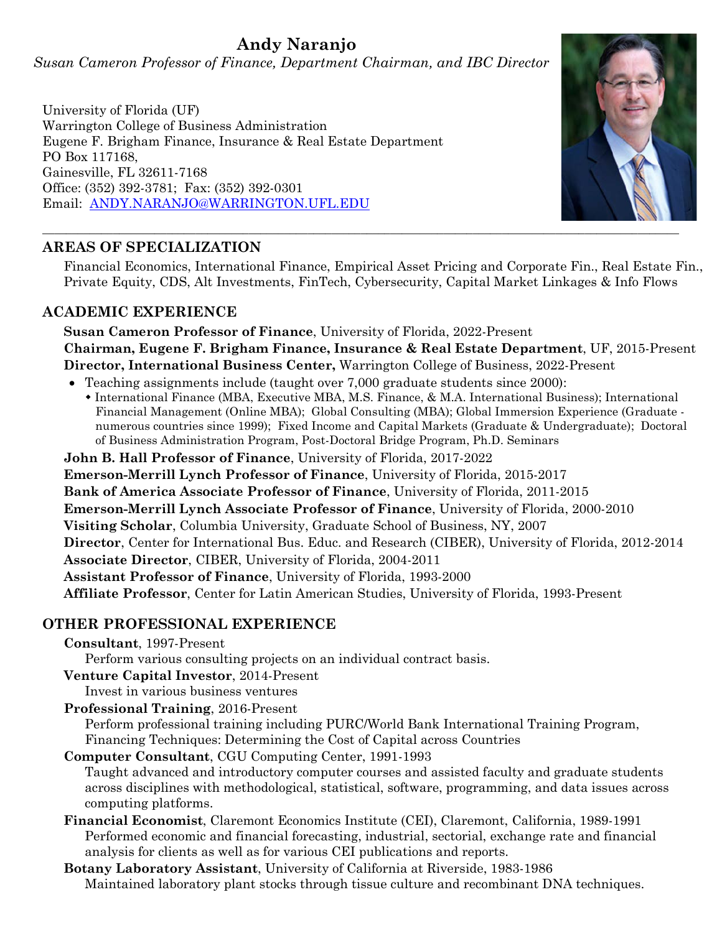# **Andy Naranjo**

*Susan Cameron Professor of Finance, Department Chairman, and IBC Director*

University of Florida (UF) Warrington College of Business Administration Eugene F. Brigham Finance, Insurance & Real Estate Department PO Box 117168, Gainesville, FL 32611-7168 Office: (352) 392-3781; Fax: (352) 392-0301 Email: [ANDY.NARANJO@WARRINGTON.UFL.EDU](mailto:ANDY.NARANJO@WARRINGTON.UFL.EDU)

# **AREAS OF SPECIALIZATION**

Financial Economics, International Finance, Empirical Asset Pricing and Corporate Fin., Real Estate Fin., Private Equity, CDS, Alt Investments, FinTech, Cybersecurity, Capital Market Linkages & Info Flows

# **ACADEMIC EXPERIENCE**

**Susan Cameron Professor of Finance**, University of Florida, 2022-Present **Chairman, Eugene F. Brigham Finance, Insurance & Real Estate Department**, UF, 2015-Present **Director, International Business Center,** Warrington College of Business, 2022-Present

- Teaching assignments include (taught over 7,000 graduate students since 2000):
	- International Finance (MBA, Executive MBA, M.S. Finance, & M.A. International Business); International Financial Management (Online MBA); Global Consulting (MBA); Global Immersion Experience (Graduate numerous countries since 1999); Fixed Income and Capital Markets (Graduate & Undergraduate); Doctoral of Business Administration Program, Post-Doctoral Bridge Program, Ph.D. Seminars

**John B. Hall Professor of Finance**, University of Florida, 2017-2022

**Emerson-Merrill Lynch Professor of Finance**, University of Florida, 2015-2017

**Bank of America Associate Professor of Finance**, University of Florida, 2011-2015

**Emerson-Merrill Lynch Associate Professor of Finance**, University of Florida, 2000-2010

**Visiting Scholar**, Columbia University, Graduate School of Business, NY, 2007

**Director**, Center for International Bus. Educ. and Research (CIBER), University of Florida, 2012-2014

**Associate Director**, CIBER, University of Florida, 2004-2011

**Assistant Professor of Finance**, University of Florida, 1993-2000

**Affiliate Professor**, Center for Latin American Studies, University of Florida, 1993-Present

# **OTHER PROFESSIONAL EXPERIENCE**

#### **Consultant**, 1997-Present

Perform various consulting projects on an individual contract basis.

**Venture Capital Investor**, 2014-Present

Invest in various business ventures

**Professional Training**, 2016-Present

Perform professional training including PURC/World Bank International Training Program, Financing Techniques: Determining the Cost of Capital across Countries

**Computer Consultant**, CGU Computing Center, 1991-1993

Taught advanced and introductory computer courses and assisted faculty and graduate students across disciplines with methodological, statistical, software, programming, and data issues across computing platforms.

- **Financial Economist**, Claremont Economics Institute (CEI), Claremont, California, 1989-1991 Performed economic and financial forecasting, industrial, sectorial, exchange rate and financial analysis for clients as well as for various CEI publications and reports.
- **Botany Laboratory Assistant**, University of California at Riverside, 1983-1986 Maintained laboratory plant stocks through tissue culture and recombinant DNA techniques.

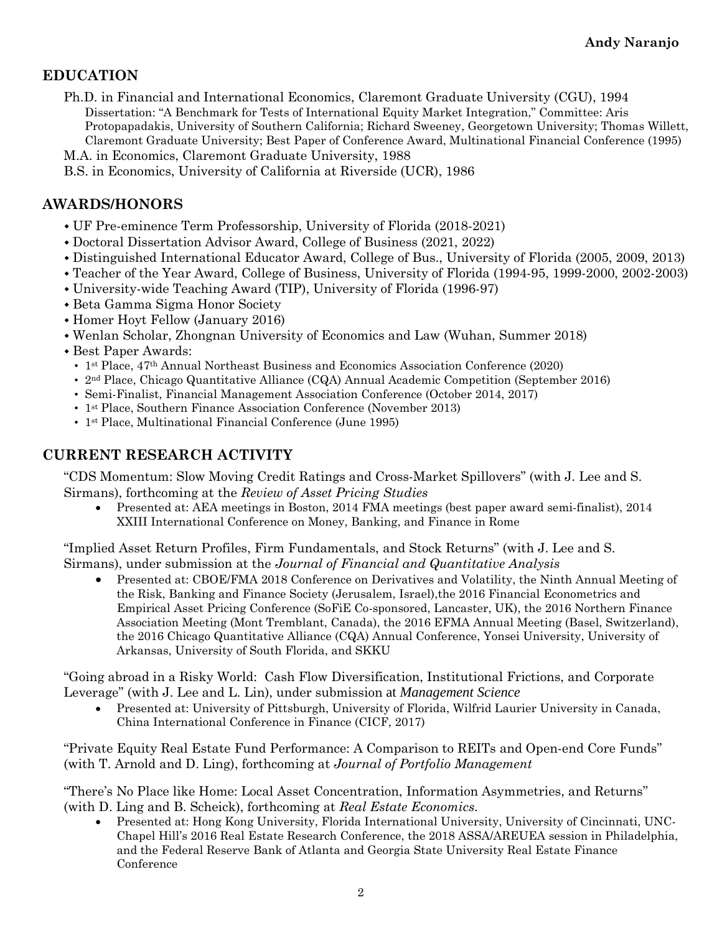# **EDUCATION**

Ph.D. in Financial and International Economics, Claremont Graduate University (CGU), 1994 Dissertation: "A Benchmark for Tests of International Equity Market Integration," Committee: Aris Protopapadakis, University of Southern California; Richard Sweeney, Georgetown University; Thomas Willett, Claremont Graduate University; Best Paper of Conference Award, Multinational Financial Conference (1995)

M.A. in Economics, Claremont Graduate University, 1988

B.S. in Economics, University of California at Riverside (UCR), 1986

#### **AWARDS/HONORS**

- UF Pre-eminence Term Professorship, University of Florida (2018-2021)
- Doctoral Dissertation Advisor Award, College of Business (2021, 2022)
- Distinguished International Educator Award, College of Bus., University of Florida (2005, 2009, 2013)
- Teacher of the Year Award, College of Business, University of Florida (1994-95, 1999-2000, 2002-2003)
- University-wide Teaching Award (TIP), University of Florida (1996-97)
- Beta Gamma Sigma Honor Society
- Homer Hoyt Fellow (January 2016)
- Wenlan Scholar, Zhongnan University of Economics and Law (Wuhan, Summer 2018)
- Best Paper Awards:
	- 1st Place, 47th Annual Northeast Business and Economics Association Conference (2020)
	- 2nd Place, Chicago Quantitative Alliance (CQA) Annual Academic Competition (September 2016)
	- Semi-Finalist, Financial Management Association Conference (October 2014, 2017)
	- 1<sup>st</sup> Place, Southern Finance Association Conference (November 2013)
	- 1<sup>st</sup> Place, Multinational Financial Conference (June 1995)

#### **CURRENT RESEARCH ACTIVITY**

"CDS Momentum: Slow Moving Credit Ratings and Cross-Market Spillovers" (with J. Lee and S. Sirmans), forthcoming at the *Review of Asset Pricing Studies*

• Presented at: AEA meetings in Boston, 2014 FMA meetings (best paper award semi-finalist), 2014 XXIII International Conference on Money, Banking, and Finance in Rome

"Implied Asset Return Profiles, Firm Fundamentals, and Stock Returns" (with J. Lee and S. Sirmans), under submission at the *Journal of Financial and Quantitative Analysis*

• Presented at: CBOE/FMA 2018 Conference on Derivatives and Volatility, the Ninth Annual Meeting of the Risk, Banking and Finance Society (Jerusalem, Israel),the 2016 Financial Econometrics and Empirical Asset Pricing Conference (SoFiE Co-sponsored, Lancaster, UK), the 2016 Northern Finance Association Meeting (Mont Tremblant, Canada), the 2016 EFMA Annual Meeting (Basel, Switzerland), the 2016 Chicago Quantitative Alliance (CQA) Annual Conference, Yonsei University, University of Arkansas, University of South Florida, and SKKU

"Going abroad in a Risky World: Cash Flow Diversification, Institutional Frictions, and Corporate Leverage" (with J. Lee and L. Lin), under submission at *Management Science*

• Presented at: University of Pittsburgh, University of Florida, Wilfrid Laurier University in Canada, China International Conference in Finance (CICF, 2017)

"Private Equity Real Estate Fund Performance: A Comparison to REITs and Open-end Core Funds" (with T. Arnold and D. Ling), forthcoming at *Journal of Portfolio Management*

"There's No Place like Home: Local Asset Concentration, Information Asymmetries, and Returns" (with D. Ling and B. Scheick), forthcoming at *Real Estate Economics*.

• Presented at: Hong Kong University, Florida International University, University of Cincinnati, UNC-Chapel Hill's 2016 Real Estate Research Conference, the 2018 ASSA/AREUEA session in Philadelphia, and the Federal Reserve Bank of Atlanta and Georgia State University Real Estate Finance Conference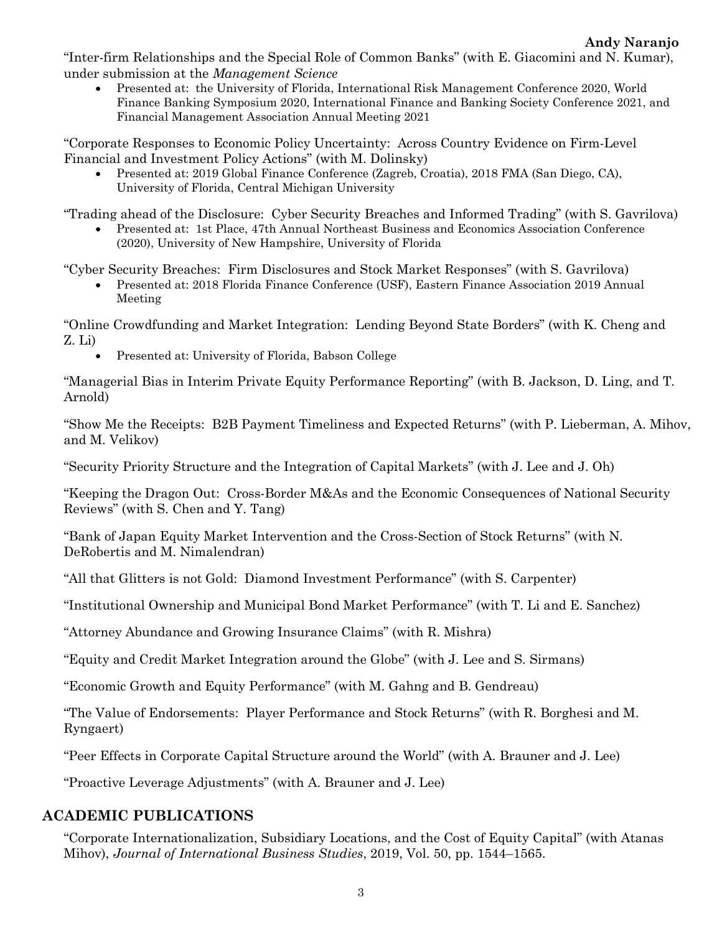"Inter-firm Relationships and the Special Role of Common Banks" (with E. Giacomini and N. Kumar), under submission at the *Management Science*

• Presented at: the University of Florida, International Risk Management Conference 2020, World Finance Banking Symposium 2020, International Finance and Banking Society Conference 2021, and Financial Management Association Annual Meeting 2021

"Corporate Responses to Economic Policy Uncertainty: Across Country Evidence on Firm-Level Financial and Investment Policy Actions" (with M. Dolinsky)

• Presented at: 2019 Global Finance Conference (Zagreb, Croatia), 2018 FMA (San Diego, CA), University of Florida, Central Michigan University

"Trading ahead of the Disclosure: Cyber Security Breaches and Informed Trading" (with S. Gavrilova)

• Presented at: 1st Place, 47th Annual Northeast Business and Economics Association Conference (2020), University of New Hampshire, University of Florida

"Cyber Security Breaches: Firm Disclosures and Stock Market Responses" (with S. Gavrilova)

• Presented at: 2018 Florida Finance Conference (USF), Eastern Finance Association 2019 Annual Meeting

"Online Crowdfunding and Market Integration: Lending Beyond State Borders" (with K. Cheng and Z. Li)

• Presented at: University of Florida, Babson College

"Managerial Bias in Interim Private Equity Performance Reporting" (with B. Jackson, D. Ling, and T. Arnold)

"Show Me the Receipts: B2B Payment Timeliness and Expected Returns" (with P. Lieberman, A. Mihov, and M. Velikov)

"Security Priority Structure and the Integration of Capital Markets" (with J. Lee and J. Oh)

"Keeping the Dragon Out: Cross-Border M&As and the Economic Consequences of National Security Reviews" (with S. Chen and Y. Tang)

"Bank of Japan Equity Market Intervention and the Cross-Section of Stock Returns" (with N. DeRobertis and M. Nimalendran)

"All that Glitters is not Gold: Diamond Investment Performance" (with S. Carpenter)

"Institutional Ownership and Municipal Bond Market Performance" (with T. Li and E. Sanchez)

"Attorney Abundance and Growing Insurance Claims" (with R. Mishra)

"Equity and Credit Market Integration around the Globe" (with J. Lee and S. Sirmans)

"Economic Growth and Equity Performance" (with M. Gahng and B. Gendreau)

"The Value of Endorsements: Player Performance and Stock Returns" (with R. Borghesi and M. Ryngaert)

"Peer Effects in Corporate Capital Structure around the World" (with A. Brauner and J. Lee)

"Proactive Leverage Adjustments" (with A. Brauner and J. Lee)

#### **ACADEMIC PUBLICATIONS**

"Corporate Internationalization, Subsidiary Locations, and the Cost of Equity Capital" (with Atanas Mihov), *Journal of International Business Studies*, 2019, Vol. 50, pp. 1544–1565.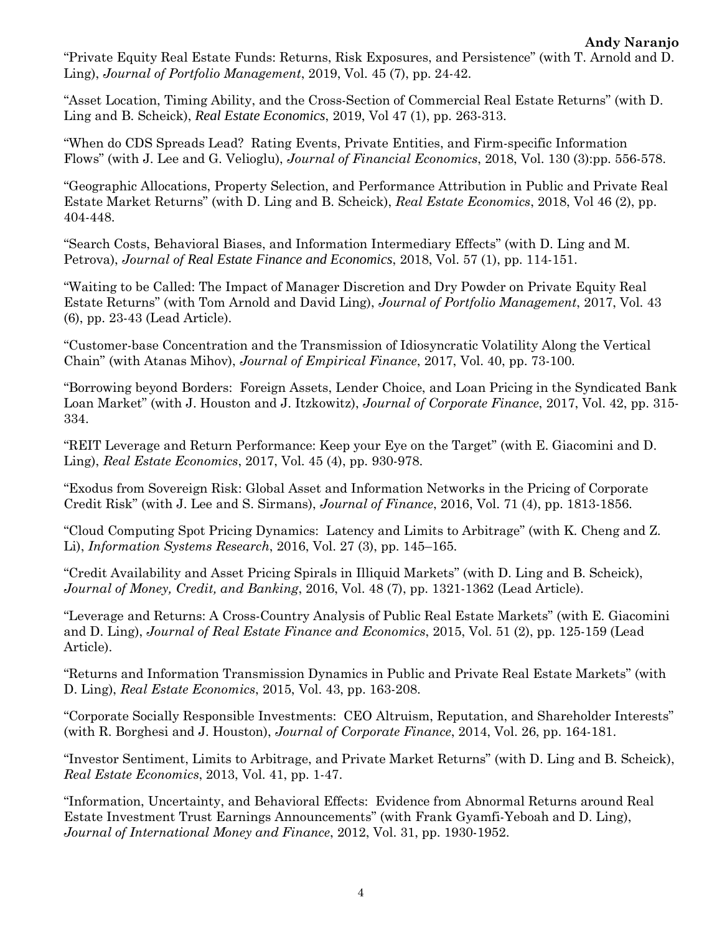"Private Equity Real Estate Funds: Returns, Risk Exposures, and Persistence" (with T. Arnold and D. Ling), *Journal of Portfolio Management*, 2019, Vol. 45 (7), pp. 24-42.

"Asset Location, Timing Ability, and the Cross-Section of Commercial Real Estate Returns" (with D. Ling and B. Scheick), *Real Estate Economics*, 2019, Vol 47 (1), pp. 263-313.

"When do CDS Spreads Lead? Rating Events, Private Entities, and Firm-specific Information Flows" (with J. Lee and G. Velioglu), *Journal of Financial Economics*, 2018, Vol. 130 (3):pp. 556-578.

"Geographic Allocations, Property Selection, and Performance Attribution in Public and Private Real Estate Market Returns" (with D. Ling and B. Scheick), *Real Estate Economics*, 2018, Vol 46 (2), pp. 404-448.

"Search Costs, Behavioral Biases, and Information Intermediary Effects" (with D. Ling and M. Petrova), *Journal of Real Estate Finance and Economics*, 2018, Vol. 57 (1), pp. 114-151.

"Waiting to be Called: The Impact of Manager Discretion and Dry Powder on Private Equity Real Estate Returns" (with Tom Arnold and David Ling), *Journal of Portfolio Management*, 2017, Vol. 43 (6), pp. 23-43 (Lead Article).

"Customer-base Concentration and the Transmission of Idiosyncratic Volatility Along the Vertical Chain" (with Atanas Mihov), *Journal of Empirical Finance*, 2017, Vol. 40, pp. 73-100.

"Borrowing beyond Borders: Foreign Assets, Lender Choice, and Loan Pricing in the Syndicated Bank Loan Market" (with J. Houston and J. Itzkowitz), *Journal of Corporate Finance*, 2017, Vol. 42, pp. 315- 334.

"REIT Leverage and Return Performance: Keep your Eye on the Target" (with E. Giacomini and D. Ling), *Real Estate Economics*, 2017, Vol. 45 (4), pp. 930-978.

"Exodus from Sovereign Risk: Global Asset and Information Networks in the Pricing of Corporate Credit Risk" (with J. Lee and S. Sirmans), *Journal of Finance*, 2016, Vol. 71 (4), pp. 1813-1856.

"Cloud Computing Spot Pricing Dynamics: Latency and Limits to Arbitrage" (with K. Cheng and Z. Li), *Information Systems Research*, 2016, Vol. 27 (3), pp. 145–165.

"Credit Availability and Asset Pricing Spirals in Illiquid Markets" (with D. Ling and B. Scheick), *Journal of Money, Credit, and Banking*, 2016, Vol. 48 (7), pp. 1321-1362 (Lead Article).

"Leverage and Returns: A Cross-Country Analysis of Public Real Estate Markets" (with E. Giacomini and D. Ling), *Journal of Real Estate Finance and Economics*, 2015, Vol. 51 (2), pp. 125-159 (Lead Article).

"Returns and Information Transmission Dynamics in Public and Private Real Estate Markets" (with D. Ling), *Real Estate Economics*, 2015, Vol. 43, pp. 163-208.

"Corporate Socially Responsible Investments: CEO Altruism, Reputation, and Shareholder Interests" (with R. Borghesi and J. Houston), *Journal of Corporate Finance*, 2014, Vol. 26, pp. 164-181.

"Investor Sentiment, Limits to Arbitrage, and Private Market Returns" (with D. Ling and B. Scheick), *Real Estate Economics*, 2013, Vol. 41, pp. 1-47.

"Information, Uncertainty, and Behavioral Effects: Evidence from Abnormal Returns around Real Estate Investment Trust Earnings Announcements" (with Frank Gyamfi-Yeboah and D. Ling), *Journal of International Money and Finance*, 2012, Vol. 31, pp. 1930-1952.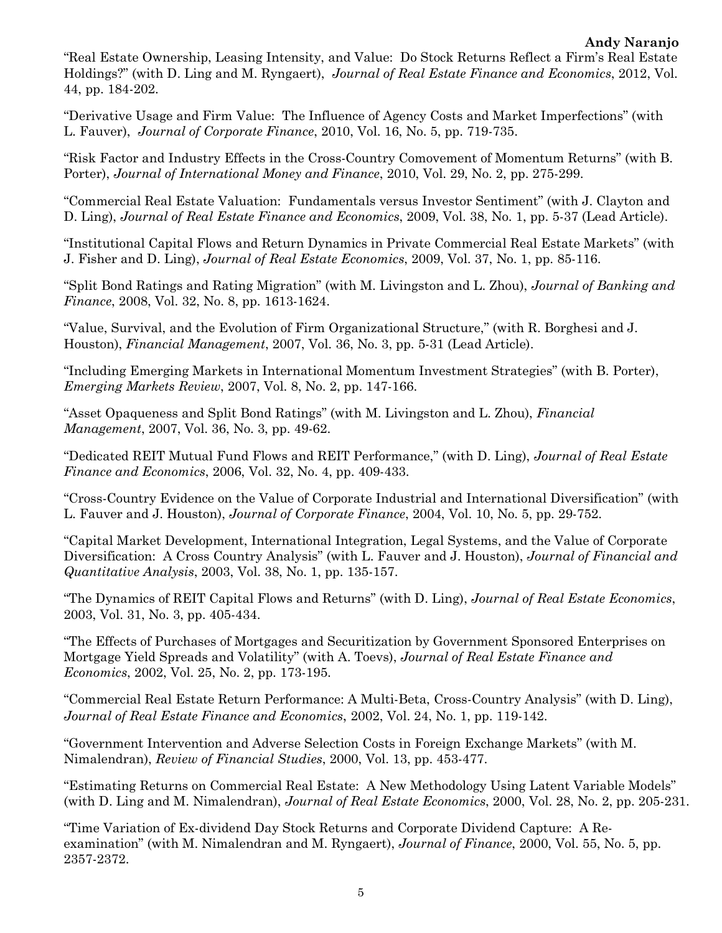"Real Estate Ownership, Leasing Intensity, and Value: Do Stock Returns Reflect a Firm's Real Estate Holdings?" (with D. Ling and M. Ryngaert), *Journal of Real Estate Finance and Economics*, 2012, Vol. 44, pp. 184-202.

"Derivative Usage and Firm Value: The Influence of Agency Costs and Market Imperfections" (with L. Fauver), *Journal of Corporate Finance*, 2010, Vol. 16, No. 5, pp. 719-735.

"Risk Factor and Industry Effects in the Cross-Country Comovement of Momentum Returns" (with B. Porter), *Journal of International Money and Finance*, 2010, Vol. 29, No. 2, pp. 275-299.

"Commercial Real Estate Valuation: Fundamentals versus Investor Sentiment" (with J. Clayton and D. Ling), *Journal of Real Estate Finance and Economics*, 2009, Vol. 38, No. 1, pp. 5-37 (Lead Article).

"Institutional Capital Flows and Return Dynamics in Private Commercial Real Estate Markets" (with J. Fisher and D. Ling), *Journal of Real Estate Economics*, 2009, Vol. 37, No. 1, pp. 85-116.

"Split Bond Ratings and Rating Migration" (with M. Livingston and L. Zhou), *Journal of Banking and Finance*, 2008, Vol. 32, No. 8, pp. 1613-1624.

"Value, Survival, and the Evolution of Firm Organizational Structure," (with R. Borghesi and J. Houston), *Financial Management*, 2007, Vol. 36, No. 3, pp. 5-31 (Lead Article).

"Including Emerging Markets in International Momentum Investment Strategies" (with B. Porter), *Emerging Markets Review*, 2007, Vol. 8, No. 2, pp. 147-166.

"Asset Opaqueness and Split Bond Ratings" (with M. Livingston and L. Zhou), *Financial Management*, 2007, Vol. 36, No. 3, pp. 49-62.

"Dedicated REIT Mutual Fund Flows and REIT Performance," (with D. Ling), *Journal of Real Estate Finance and Economics*, 2006, Vol. 32, No. 4, pp. 409-433.

"Cross-Country Evidence on the Value of Corporate Industrial and International Diversification" (with L. Fauver and J. Houston), *Journal of Corporate Finance*, 2004, Vol. 10, No. 5, pp. 29-752.

"Capital Market Development, International Integration, Legal Systems, and the Value of Corporate Diversification: A Cross Country Analysis" (with L. Fauver and J. Houston), *Journal of Financial and Quantitative Analysis*, 2003, Vol. 38, No. 1, pp. 135-157.

"The Dynamics of REIT Capital Flows and Returns" (with D. Ling), *Journal of Real Estate Economics*, 2003, Vol. 31, No. 3, pp. 405-434.

"The Effects of Purchases of Mortgages and Securitization by Government Sponsored Enterprises on Mortgage Yield Spreads and Volatility" (with A. Toevs), *Journal of Real Estate Finance and Economics*, 2002, Vol. 25, No. 2, pp. 173-195.

"Commercial Real Estate Return Performance: A Multi-Beta, Cross-Country Analysis" (with D. Ling), *Journal of Real Estate Finance and Economics*, 2002, Vol. 24, No. 1, pp. 119-142.

"Government Intervention and Adverse Selection Costs in Foreign Exchange Markets" (with M. Nimalendran), *Review of Financial Studies*, 2000, Vol. 13, pp. 453-477.

"Estimating Returns on Commercial Real Estate: A New Methodology Using Latent Variable Models" (with D. Ling and M. Nimalendran), *Journal of Real Estate Economics*, 2000, Vol. 28, No. 2, pp. 205-231.

"Time Variation of Ex-dividend Day Stock Returns and Corporate Dividend Capture: A Reexamination" (with M. Nimalendran and M. Ryngaert), *Journal of Finance*, 2000, Vol. 55, No. 5, pp. 2357-2372.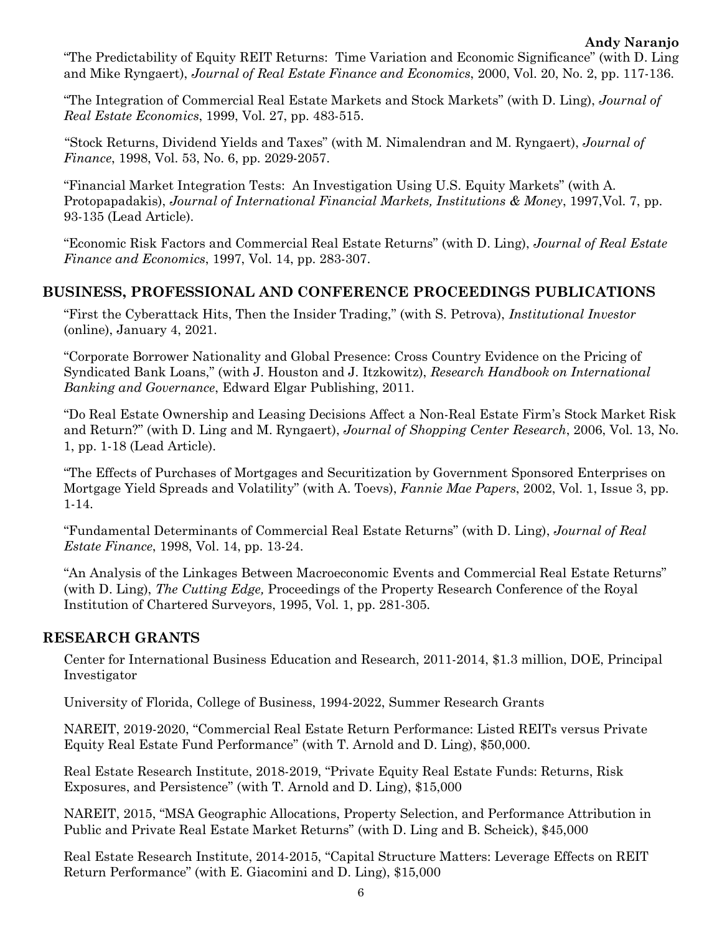"The Predictability of Equity REIT Returns: Time Variation and Economic Significance" (with D. Ling and Mike Ryngaert), *Journal of Real Estate Finance and Economics*, 2000, Vol. 20, No. 2, pp. 117-136.

"The Integration of Commercial Real Estate Markets and Stock Markets" (with D. Ling), *Journal of Real Estate Economics*, 1999, Vol. 27, pp. 483-515.

"Stock Returns, Dividend Yields and Taxes" (with M. Nimalendran and M. Ryngaert), *Journal of Finance*, 1998, Vol. 53, No. 6, pp. 2029-2057.

"Financial Market Integration Tests: An Investigation Using U.S. Equity Markets" (with A. Protopapadakis), *Journal of International Financial Markets, Institutions & Money*, 1997,Vol. 7, pp. 93-135 (Lead Article).

"Economic Risk Factors and Commercial Real Estate Returns" (with D. Ling), *Journal of Real Estate Finance and Economics*, 1997, Vol. 14, pp. 283-307.

### **BUSINESS, PROFESSIONAL AND CONFERENCE PROCEEDINGS PUBLICATIONS**

"First the Cyberattack Hits, Then the Insider Trading," (with S. Petrova), *Institutional Investor* (online), January 4, 2021.

"Corporate Borrower Nationality and Global Presence: Cross Country Evidence on the Pricing of Syndicated Bank Loans," (with J. Houston and J. Itzkowitz), *Research Handbook on International Banking and Governance*, Edward Elgar Publishing, 2011.

"Do Real Estate Ownership and Leasing Decisions Affect a Non-Real Estate Firm's Stock Market Risk and Return?" (with D. Ling and M. Ryngaert), *Journal of Shopping Center Research*, 2006, Vol. 13, No. 1, pp. 1-18 (Lead Article).

"The Effects of Purchases of Mortgages and Securitization by Government Sponsored Enterprises on Mortgage Yield Spreads and Volatility" (with A. Toevs), *Fannie Mae Papers*, 2002, Vol. 1, Issue 3, pp. 1-14.

"Fundamental Determinants of Commercial Real Estate Returns" (with D. Ling), *Journal of Real Estate Finance*, 1998, Vol. 14, pp. 13-24.

"An Analysis of the Linkages Between Macroeconomic Events and Commercial Real Estate Returns" (with D. Ling), *The Cutting Edge,* Proceedings of the Property Research Conference of the Royal Institution of Chartered Surveyors, 1995, Vol. 1, pp. 281-305.

#### **RESEARCH GRANTS**

Center for International Business Education and Research, 2011-2014, \$1.3 million, DOE, Principal Investigator

University of Florida, College of Business, 1994-2022, Summer Research Grants

NAREIT, 2019-2020, "Commercial Real Estate Return Performance: Listed REITs versus Private Equity Real Estate Fund Performance" (with T. Arnold and D. Ling), \$50,000.

Real Estate Research Institute, 2018-2019, "Private Equity Real Estate Funds: Returns, Risk Exposures, and Persistence" (with T. Arnold and D. Ling), \$15,000

NAREIT, 2015, "MSA Geographic Allocations, Property Selection, and Performance Attribution in Public and Private Real Estate Market Returns" (with D. Ling and B. Scheick), \$45,000

Real Estate Research Institute, 2014-2015, "Capital Structure Matters: Leverage Effects on REIT Return Performance" (with E. Giacomini and D. Ling), \$15,000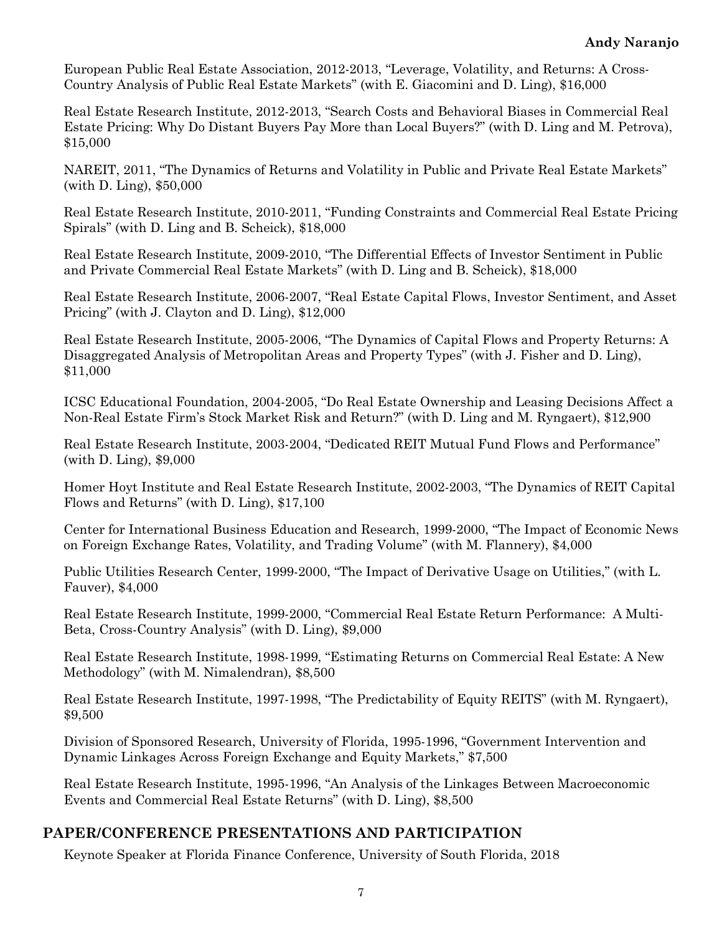European Public Real Estate Association, 2012-2013, "Leverage, Volatility, and Returns: A Cross-Country Analysis of Public Real Estate Markets" (with E. Giacomini and D. Ling), \$16,000

Real Estate Research Institute, 2012-2013, "Search Costs and Behavioral Biases in Commercial Real Estate Pricing: Why Do Distant Buyers Pay More than Local Buyers?" (with D. Ling and M. Petrova), \$15,000

NAREIT, 2011, "The Dynamics of Returns and Volatility in Public and Private Real Estate Markets" (with D. Ling), \$50,000

Real Estate Research Institute, 2010-2011, "Funding Constraints and Commercial Real Estate Pricing Spirals" (with D. Ling and B. Scheick), \$18,000

Real Estate Research Institute, 2009-2010, "The Differential Effects of Investor Sentiment in Public and Private Commercial Real Estate Markets" (with D. Ling and B. Scheick), \$18,000

Real Estate Research Institute, 2006-2007, "Real Estate Capital Flows, Investor Sentiment, and Asset Pricing" (with J. Clayton and D. Ling), \$12,000

Real Estate Research Institute, 2005-2006, "The Dynamics of Capital Flows and Property Returns: A Disaggregated Analysis of Metropolitan Areas and Property Types" (with J. Fisher and D. Ling), \$11,000

ICSC Educational Foundation, 2004-2005, "Do Real Estate Ownership and Leasing Decisions Affect a Non-Real Estate Firm's Stock Market Risk and Return?" (with D. Ling and M. Ryngaert), \$12,900

Real Estate Research Institute, 2003-2004, "Dedicated REIT Mutual Fund Flows and Performance" (with D. Ling), \$9,000

Homer Hoyt Institute and Real Estate Research Institute, 2002-2003, "The Dynamics of REIT Capital Flows and Returns" (with D. Ling), \$17,100

Center for International Business Education and Research, 1999-2000, "The Impact of Economic News on Foreign Exchange Rates, Volatility, and Trading Volume" (with M. Flannery), \$4,000

Public Utilities Research Center, 1999-2000, "The Impact of Derivative Usage on Utilities," (with L. Fauver), \$4,000

Real Estate Research Institute, 1999-2000, "Commercial Real Estate Return Performance: A Multi-Beta, Cross-Country Analysis" (with D. Ling), \$9,000

Real Estate Research Institute, 1998-1999, "Estimating Returns on Commercial Real Estate: A New Methodology" (with M. Nimalendran), \$8,500

Real Estate Research Institute, 1997-1998, "The Predictability of Equity REITS" (with M. Ryngaert), \$9,500

Division of Sponsored Research, University of Florida, 1995-1996, "Government Intervention and Dynamic Linkages Across Foreign Exchange and Equity Markets," \$7,500

Real Estate Research Institute, 1995-1996, "An Analysis of the Linkages Between Macroeconomic Events and Commercial Real Estate Returns" (with D. Ling), \$8,500

# **PAPER/CONFERENCE PRESENTATIONS AND PARTICIPATION**

Keynote Speaker at Florida Finance Conference, University of South Florida, 2018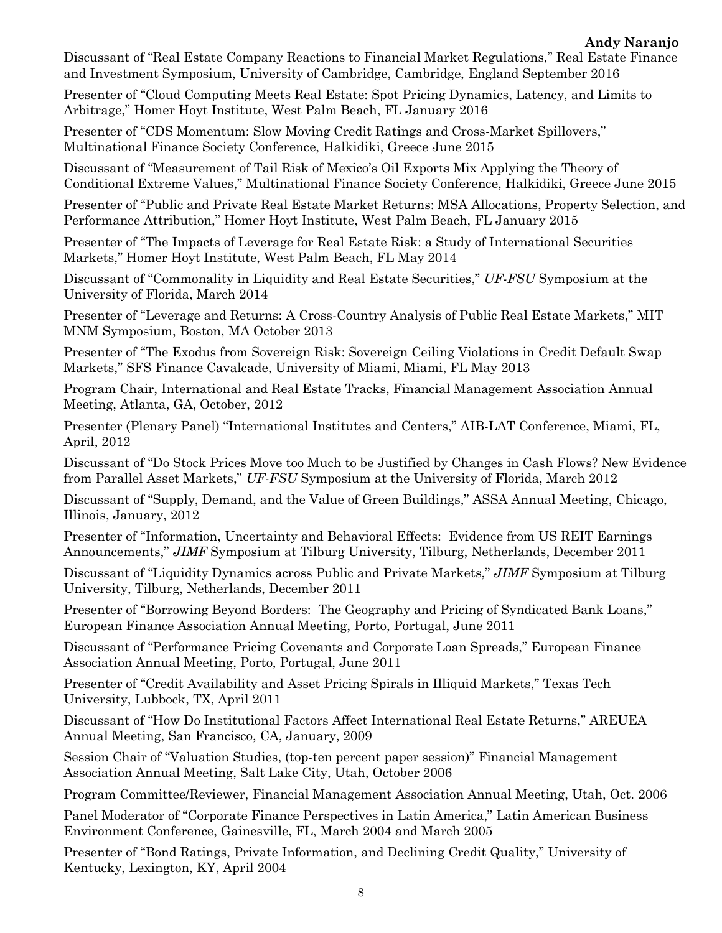Discussant of "Real Estate Company Reactions to Financial Market Regulations," Real Estate Finance and Investment Symposium, University of Cambridge, Cambridge, England September 2016

Presenter of "Cloud Computing Meets Real Estate: Spot Pricing Dynamics, Latency, and Limits to Arbitrage," Homer Hoyt Institute, West Palm Beach, FL January 2016

Presenter of "CDS Momentum: Slow Moving Credit Ratings and Cross-Market Spillovers," Multinational Finance Society Conference, Halkidiki, Greece June 2015

Discussant of "Measurement of Tail Risk of Mexico's Oil Exports Mix Applying the Theory of Conditional Extreme Values," Multinational Finance Society Conference, Halkidiki, Greece June 2015

Presenter of "Public and Private Real Estate Market Returns: MSA Allocations, Property Selection, and Performance Attribution," Homer Hoyt Institute, West Palm Beach, FL January 2015

Presenter of "The Impacts of Leverage for Real Estate Risk: a Study of International Securities Markets," Homer Hoyt Institute, West Palm Beach, FL May 2014

Discussant of "Commonality in Liquidity and Real Estate Securities," *UF-FSU* Symposium at the University of Florida, March 2014

Presenter of "Leverage and Returns: A Cross-Country Analysis of Public Real Estate Markets," MIT MNM Symposium, Boston, MA October 2013

Presenter of "The Exodus from Sovereign Risk: Sovereign Ceiling Violations in Credit Default Swap Markets," SFS Finance Cavalcade, University of Miami, Miami, FL May 2013

Program Chair, International and Real Estate Tracks, Financial Management Association Annual Meeting, Atlanta, GA, October, 2012

Presenter (Plenary Panel) "International Institutes and Centers," AIB-LAT Conference, Miami, FL, April, 2012

Discussant of "Do Stock Prices Move too Much to be Justified by Changes in Cash Flows? New Evidence from Parallel Asset Markets," *UF-FSU* Symposium at the University of Florida, March 2012

Discussant of "Supply, Demand, and the Value of Green Buildings," ASSA Annual Meeting, Chicago, Illinois, January, 2012

Presenter of "Information, Uncertainty and Behavioral Effects: Evidence from US REIT Earnings Announcements," *JIMF* Symposium at Tilburg University, Tilburg, Netherlands, December 2011

Discussant of "Liquidity Dynamics across Public and Private Markets," *JIMF* Symposium at Tilburg University, Tilburg, Netherlands, December 2011

Presenter of "Borrowing Beyond Borders: The Geography and Pricing of Syndicated Bank Loans," European Finance Association Annual Meeting, Porto, Portugal, June 2011

Discussant of "Performance Pricing Covenants and Corporate Loan Spreads," European Finance Association Annual Meeting, Porto, Portugal, June 2011

Presenter of "Credit Availability and Asset Pricing Spirals in Illiquid Markets," Texas Tech University, Lubbock, TX, April 2011

Discussant of "How Do Institutional Factors Affect International Real Estate Returns," AREUEA Annual Meeting, San Francisco, CA, January, 2009

Session Chair of "Valuation Studies, (top-ten percent paper session)" Financial Management Association Annual Meeting, Salt Lake City, Utah, October 2006

Program Committee/Reviewer, Financial Management Association Annual Meeting, Utah, Oct. 2006

Panel Moderator of "Corporate Finance Perspectives in Latin America," Latin American Business Environment Conference, Gainesville, FL, March 2004 and March 2005

Presenter of "Bond Ratings, Private Information, and Declining Credit Quality," University of Kentucky, Lexington, KY, April 2004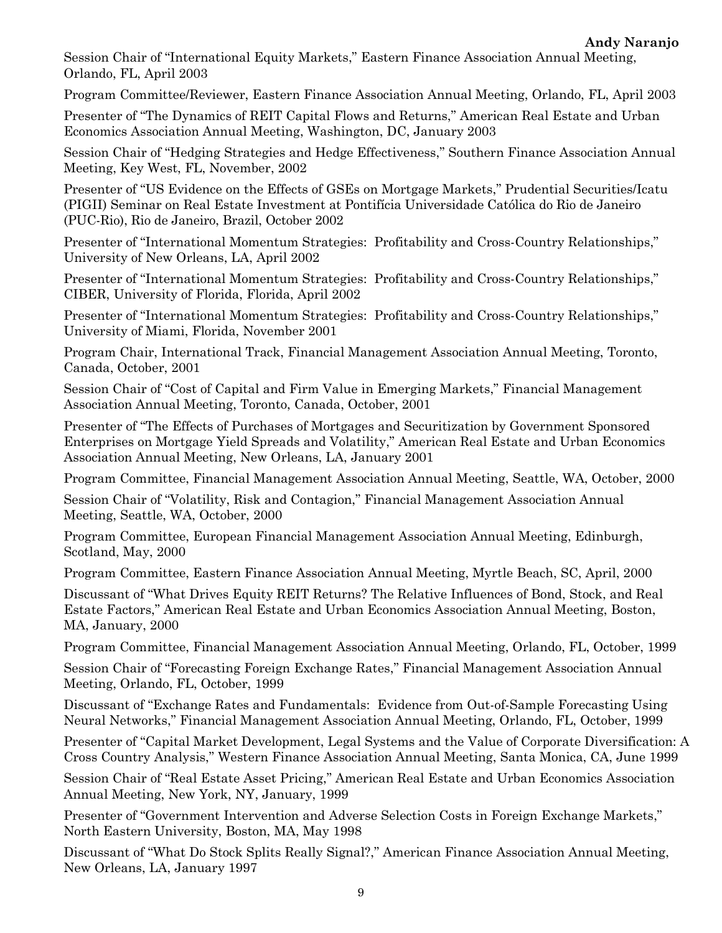Session Chair of "International Equity Markets," Eastern Finance Association Annual Meeting, Orlando, FL, April 2003

Program Committee/Reviewer, Eastern Finance Association Annual Meeting, Orlando, FL, April 2003

Presenter of "The Dynamics of REIT Capital Flows and Returns," American Real Estate and Urban Economics Association Annual Meeting, Washington, DC, January 2003

Session Chair of "Hedging Strategies and Hedge Effectiveness," Southern Finance Association Annual Meeting, Key West, FL, November, 2002

Presenter of "US Evidence on the Effects of GSEs on Mortgage Markets," Prudential Securities/Icatu (PIGII) Seminar on Real Estate Investment at Pontifícia Universidade Católica do Rio de Janeiro (PUC-Rio), Rio de Janeiro, Brazil, October 2002

Presenter of "International Momentum Strategies: Profitability and Cross-Country Relationships," University of New Orleans, LA, April 2002

Presenter of "International Momentum Strategies: Profitability and Cross-Country Relationships," CIBER, University of Florida, Florida, April 2002

Presenter of "International Momentum Strategies: Profitability and Cross-Country Relationships," University of Miami, Florida, November 2001

Program Chair, International Track, Financial Management Association Annual Meeting, Toronto, Canada, October, 2001

Session Chair of "Cost of Capital and Firm Value in Emerging Markets," Financial Management Association Annual Meeting, Toronto, Canada, October, 2001

Presenter of "The Effects of Purchases of Mortgages and Securitization by Government Sponsored Enterprises on Mortgage Yield Spreads and Volatility," American Real Estate and Urban Economics Association Annual Meeting, New Orleans, LA, January 2001

Program Committee, Financial Management Association Annual Meeting, Seattle, WA, October, 2000

Session Chair of "Volatility, Risk and Contagion," Financial Management Association Annual Meeting, Seattle, WA, October, 2000

Program Committee, European Financial Management Association Annual Meeting, Edinburgh, Scotland, May, 2000

Program Committee, Eastern Finance Association Annual Meeting, Myrtle Beach, SC, April, 2000

Discussant of "What Drives Equity REIT Returns? The Relative Influences of Bond, Stock, and Real Estate Factors," American Real Estate and Urban Economics Association Annual Meeting, Boston, MA, January, 2000

Program Committee, Financial Management Association Annual Meeting, Orlando, FL, October, 1999

Session Chair of "Forecasting Foreign Exchange Rates," Financial Management Association Annual Meeting, Orlando, FL, October, 1999

Discussant of "Exchange Rates and Fundamentals: Evidence from Out-of-Sample Forecasting Using Neural Networks," Financial Management Association Annual Meeting, Orlando, FL, October, 1999

Presenter of "Capital Market Development, Legal Systems and the Value of Corporate Diversification: A Cross Country Analysis," Western Finance Association Annual Meeting, Santa Monica, CA, June 1999

Session Chair of "Real Estate Asset Pricing," American Real Estate and Urban Economics Association Annual Meeting, New York, NY, January, 1999

Presenter of "Government Intervention and Adverse Selection Costs in Foreign Exchange Markets," North Eastern University, Boston, MA, May 1998

Discussant of "What Do Stock Splits Really Signal?," American Finance Association Annual Meeting, New Orleans, LA, January 1997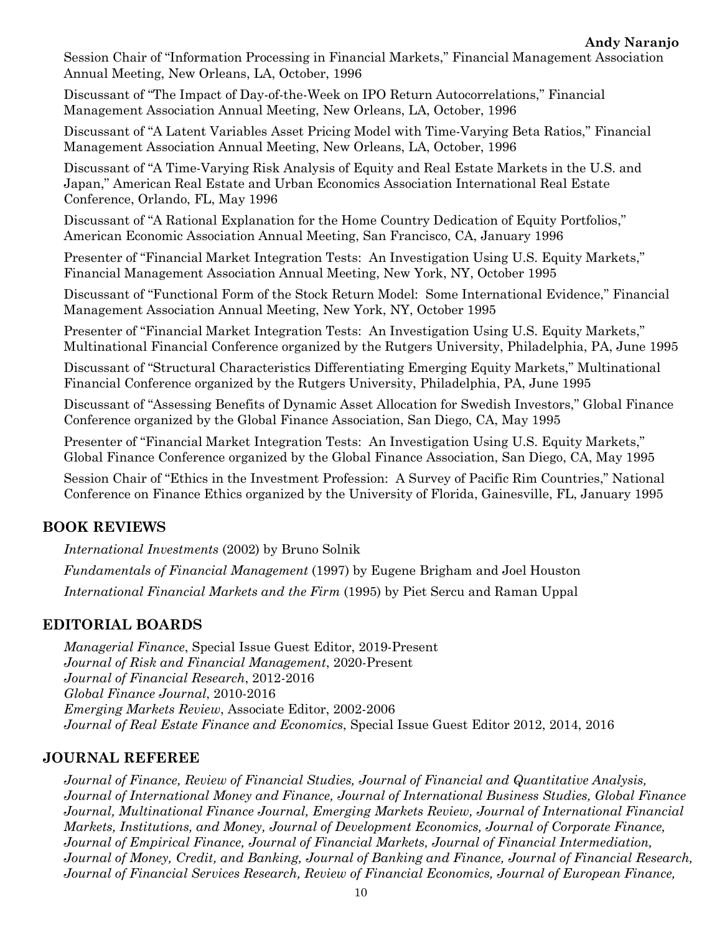**Andy Naranjo**

Session Chair of "Information Processing in Financial Markets," Financial Management Association Annual Meeting, New Orleans, LA, October, 1996

Discussant of "The Impact of Day-of-the-Week on IPO Return Autocorrelations," Financial Management Association Annual Meeting, New Orleans, LA, October, 1996

Discussant of "A Latent Variables Asset Pricing Model with Time-Varying Beta Ratios," Financial Management Association Annual Meeting, New Orleans, LA, October, 1996

Discussant of "A Time-Varying Risk Analysis of Equity and Real Estate Markets in the U.S. and Japan," American Real Estate and Urban Economics Association International Real Estate Conference, Orlando, FL, May 1996

Discussant of "A Rational Explanation for the Home Country Dedication of Equity Portfolios," American Economic Association Annual Meeting, San Francisco, CA, January 1996

Presenter of "Financial Market Integration Tests: An Investigation Using U.S. Equity Markets," Financial Management Association Annual Meeting, New York, NY, October 1995

Discussant of "Functional Form of the Stock Return Model: Some International Evidence," Financial Management Association Annual Meeting, New York, NY, October 1995

Presenter of "Financial Market Integration Tests: An Investigation Using U.S. Equity Markets," Multinational Financial Conference organized by the Rutgers University, Philadelphia, PA, June 1995

Discussant of "Structural Characteristics Differentiating Emerging Equity Markets," Multinational Financial Conference organized by the Rutgers University, Philadelphia, PA, June 1995

Discussant of "Assessing Benefits of Dynamic Asset Allocation for Swedish Investors," Global Finance Conference organized by the Global Finance Association, San Diego, CA, May 1995

Presenter of "Financial Market Integration Tests: An Investigation Using U.S. Equity Markets," Global Finance Conference organized by the Global Finance Association, San Diego, CA, May 1995

Session Chair of "Ethics in the Investment Profession: A Survey of Pacific Rim Countries," National Conference on Finance Ethics organized by the University of Florida, Gainesville, FL, January 1995

# **BOOK REVIEWS**

*International Investments* (2002) by Bruno Solnik

*Fundamentals of Financial Management* (1997) by Eugene Brigham and Joel Houston *International Financial Markets and the Firm* (1995) by Piet Sercu and Raman Uppal

#### **EDITORIAL BOARDS**

*Managerial Finance*, Special Issue Guest Editor, 2019-Present *Journal of Risk and Financial Management*, 2020-Present *Journal of Financial Research*, 2012-2016 *Global Finance Journal*, 2010-2016 *Emerging Markets Review*, Associate Editor, 2002-2006 *Journal of Real Estate Finance and Economics*, Special Issue Guest Editor 2012, 2014, 2016

#### **JOURNAL REFEREE**

*Journal of Finance, Review of Financial Studies, Journal of Financial and Quantitative Analysis, Journal of International Money and Finance, Journal of International Business Studies, Global Finance Journal, Multinational Finance Journal, Emerging Markets Review, Journal of International Financial Markets, Institutions, and Money, Journal of Development Economics, Journal of Corporate Finance, Journal of Empirical Finance, Journal of Financial Markets, Journal of Financial Intermediation, Journal of Money, Credit, and Banking, Journal of Banking and Finance, Journal of Financial Research, Journal of Financial Services Research, Review of Financial Economics, Journal of European Finance,*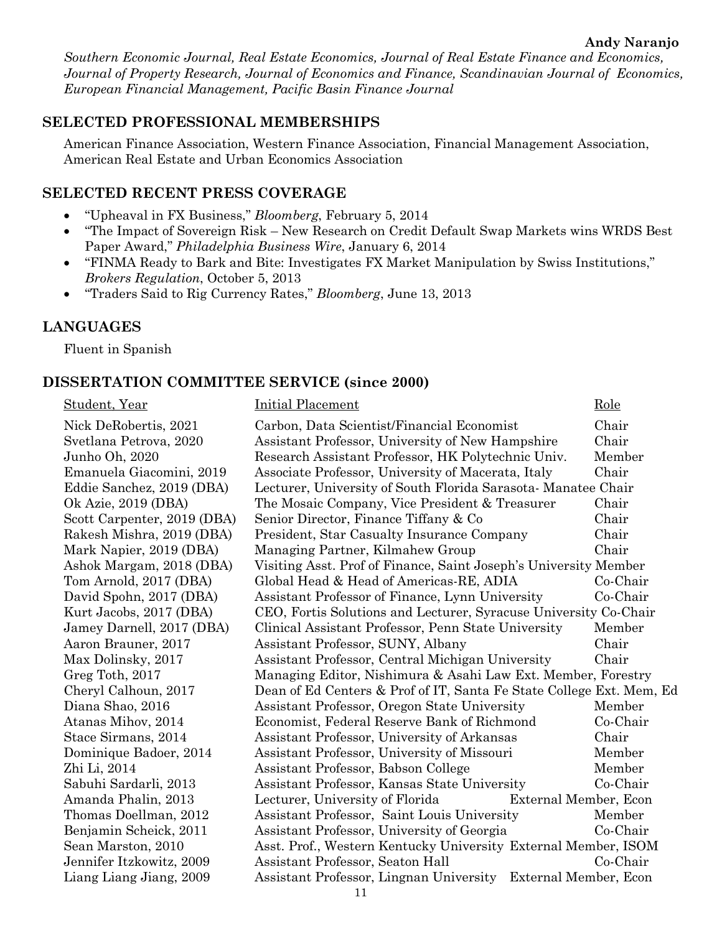*Southern Economic Journal, Real Estate Economics, Journal of Real Estate Finance and Economics, Journal of Property Research, Journal of Economics and Finance, Scandinavian Journal of Economics, European Financial Management, Pacific Basin Finance Journal*

#### **SELECTED PROFESSIONAL MEMBERSHIPS**

American Finance Association, Western Finance Association, Financial Management Association, American Real Estate and Urban Economics Association

#### **SELECTED RECENT PRESS COVERAGE**

- "Upheaval in FX Business," *Bloomberg*, February 5, 2014
- "The Impact of Sovereign Risk New Research on Credit Default Swap Markets wins WRDS Best Paper Award," *Philadelphia Business Wire*, January 6, 2014
- "FINMA Ready to Bark and Bite: Investigates FX Market Manipulation by Swiss Institutions," *Brokers Regulation*, October 5, 2013
- "Traders Said to Rig Currency Rates," *Bloomberg*, June 13, 2013

#### **LANGUAGES**

Fluent in Spanish

#### **DISSERTATION COMMITTEE SERVICE (since 2000)**

Student, Year **Initial Placement** Role Nick DeRobertis, 2021 Carbon, Data Scientist/Financial Economist Chair Svetlana Petrova, 2020 Assistant Professor, University of New Hampshire Chair Junho Oh, 2020 Research Assistant Professor, HK Polytechnic Univ. Member Emanuela Giacomini, 2019 Associate Professor, University of Macerata, Italy Chair Eddie Sanchez, 2019 (DBA) Lecturer, University of South Florida Sarasota- Manatee Chair Ok Azie, 2019 (DBA) The Mosaic Company, Vice President & Treasurer Chair Scott Carpenter, 2019 (DBA) Senior Director, Finance Tiffany & Co Chair Rakesh Mishra, 2019 (DBA) President, Star Casualty Insurance Company Chair Mark Napier, 2019 (DBA) Managing Partner, Kilmahew Group Chair Ashok Margam, 2018 (DBA) Visiting Asst. Prof of Finance, Saint Joseph's University Member Tom Arnold, 2017 (DBA) Global Head & Head of Americas-RE, ADIA Co-Chair David Spohn, 2017 (DBA) Assistant Professor of Finance, Lynn University Co-Chair Kurt Jacobs, 2017 (DBA) CEO, Fortis Solutions and Lecturer, Syracuse University Co-Chair Jamey Darnell, 2017 (DBA) Clinical Assistant Professor, Penn State University Member Aaron Brauner, 2017 Assistant Professor, SUNY, Albany Chair Max Dolinsky, 2017 Assistant Professor, Central Michigan University Chair Greg Toth, 2017 Managing Editor, Nishimura & Asahi Law Ext. Member, Forestry Cheryl Calhoun, 2017 Dean of Ed Centers & Prof of IT, Santa Fe State College Ext. Mem, Ed Diana Shao, 2016 Assistant Professor, Oregon State University Member Atanas Mihov, 2014 Economist, Federal Reserve Bank of Richmond Co-Chair Stace Sirmans, 2014 Assistant Professor, University of Arkansas Chair Dominique Badoer, 2014 Assistant Professor, University of Missouri Member Zhi Li, 2014 **Assistant Professor, Babson College** Member Sabuhi Sardarli, 2013 Assistant Professor, Kansas State University Co-Chair Amanda Phalin, 2013 Lecturer, University of Florida External Member, Econ Thomas Doellman, 2012 Assistant Professor, Saint Louis University Member Benjamin Scheick, 2011 Assistant Professor, University of Georgia Co-Chair Sean Marston, 2010 Asst. Prof., Western Kentucky University External Member, ISOM Jennifer Itzkowitz, 2009 Assistant Professor, Seaton Hall Co-Chair Liang Liang Jiang, 2009 Assistant Professor, Lingnan University External Member, Econ